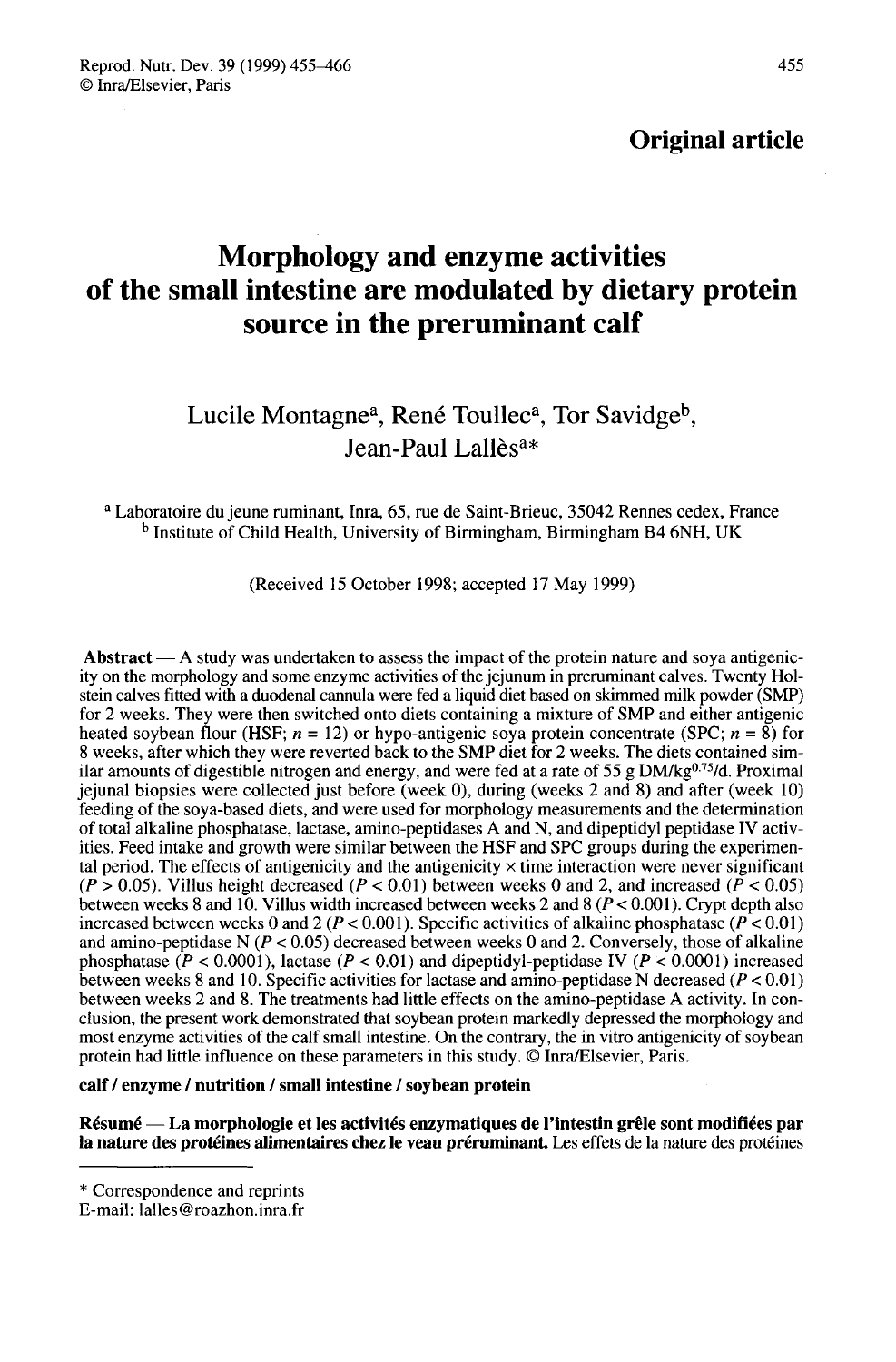# Original article

# Morphology and enzyme activities of the small intestine are modulated by dietary protein source in the preruminant calf

# mall intestine are modulated by dietary<br>
source in the preruminant calf<br>
Lucile Montagne<sup>a</sup>, René Toullec<sup>a</sup>, Tor Savidge<sup>t</sup><br>
Jean-Paul Lallès<sup>a\*</sup>

<sup>a</sup> Laboratoire du jeune ruminant, Inra, 65, rue de Saint-Brieuc, 35042 Rennes cedex, France b Institute of Child Health, University of Birmingham, Birmingham B4 6NH, UK

(Received 15 October 1998; accepted 17 May 1999)

Abstract  $- A$  study was undertaken to assess the impact of the protein nature and soya antigenicity on the morphology and some enzyme activities of the jejunum in preruminant calves. Twenty Holstein calves fitted with a duodenal cannula were fed a liquid diet based on skimmed milk powder (SMP) for 2 weeks. They were then switched onto diets containing a mixture of SMP and either antigenic heated soybean flour (HSF;  $n = 12$ ) or hypo-antigenic soya protein concentrate (SPC;  $n = 8$ ) for 8 weeks, after which they were reverted back to the SMP diet for 2 weeks. The diets contained similar amounts of digestible nitrogen and energy, and were fed at a rate of 55 g  $DM/kg^{0.75}/d$ . Proximal Abstract — A staty was undertaken to assess the impact of the protein nature and soya antigente-<br>ity on the morphology and some enzyme activities of the jejunum in preruminant calves. Twenty Hol-<br>stein calves fitted with jejunal biopsies were collected just before (week 0), during (weeks 2 and 8) and after (week 10) feeding of the soya-based diets, and were used for morphology measurements and the determination of total alkaline phosphatase, lactase, amino-peptidases A and N, and dipeptidyl peptidase IV activities. Feed intake and growth were similar between the HSF and SPC groups during the experimental period. The effects of antigenicity and the antigenicity  $\times$  time interaction were never significant  $(P > 0.05)$ . Villus height decreased  $(P < 0.01)$  between weeks 0 and 2, and increased  $(P < 0.05)$ between weeks 8 and 10. Villus width increased between weeks 2 and 8 ( $P < 0.001$ ). Crypt depth also increased between weeks 0 and 2 ( $P < 0.001$ ). Specific activities of alkaline phosphatase ( $P < 0.01$ ) and amino-peptidase N  $(P < 0.05)$  decreased between weeks 0 and 2. Conversely, those of alkaline phosphatase ( $P < 0.0001$ ), lactase ( $P < 0.01$ ) and dipeptidyl-peptidase IV ( $P < 0.0001$ ) increased between weeks 8 and 10. Specific activities for lactase and amino-peptidase N decreased ( $P < 0.01$ ) between weeks 2 and 8. The treatments had little effects on the amino-peptidase A activity. In conclusion, the present work demonstrated that soybean protein markedly depressed the morphology and most enzyme activities of the calf small intestine. On the contrary, the in vitro antigenicity of soybean protein had little influence on these parameters in this study. © Inra/Elsevier, Paris.

#### calf / enzyme / nutrition / small intestine / soybean protein

Résumé ― La morphologie et les activités enzymatiques de l'intestin grêle sont modifiées par la nature des protéines alimentaires chez le veau préruminant. Les effets de la nature des protéines

<sup>\*</sup> Correspondence and reprints

E-mail: lalles@roazhon.inra.fr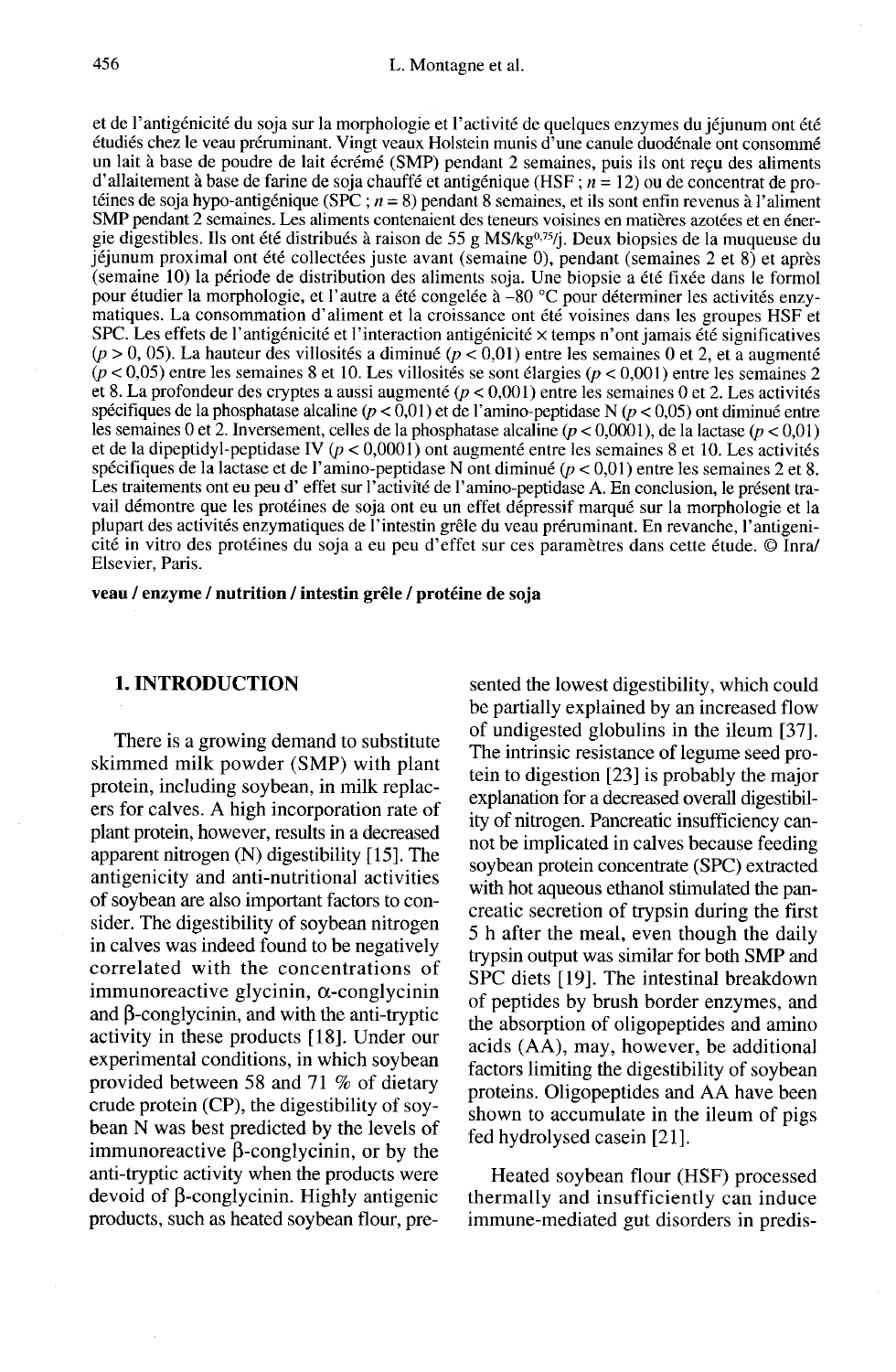et de l'antigénicité du soja sur la morphologie et l'activité de quelques enzymes du jéjunum ont été étudiés chez le veau préruminant. Vingt veaux Holstein munis d'une canule duodénale ont consommé un lait à base de poudre de lait écrémé (SMP) pendant 2 semaines, puis ils ont reçu des aliments d'allaitement à base de farine de soja chauffé et antigénique (HSF;  $n = 12$ ) ou de concentrat de protéines de soja hypo-antigénique (SPC ;  $n = 8$ ) pendant 8 semaines, et ils sont enfin revenus à l'aliment téines de soja hypo-antigénique (SPC ;  $n = 8$ ) pendant 8 semaines, et ils sont enfin revenus à l'aliment SMP pendant 2 semaines. Les aliments contenaient des teneurs voisines en matières azotées et en éner-<br>gie digestible jéjunum proximal ont été collectées juste avant (semaine 0), pendant (semaines 2 et 8) et après (semaine 10) la période de distribution des aliments soja. Une biopsie a été fixée dans le formol pour étudier la morphologie, et l'autre a été congelée à -80 °C pour déterminer les activités enzymatiques. La consommation d'aliment et la croissance ont été voisines dans les groupes HSF et SPC. Les effets de l'antigénicité et l'interaction antigénicité  $\times$  temps n'ont jamais été significatives ( $p > 0$ , 05). La hauteur des villosités a diminué ( $p < 0,01$ ) entre les semaines 0 et 2, et a augmenté  $(p < 0.05)$  entre les semaines 8 et 10. Les villosités se sont élargies ( $p < 0.001$ ) entre les semaines 2 et 8. La profondeur des cryptes a aussi augmenté  $(p < 0.001)$  entre les semaines 0 et 2. Les activités spécifiques de la phosphatase alcaline ( $p < 0.01$ ) et de l'amino-peptidase N ( $p < 0.05$ ) ont diminué entre les semaines 0 et 2. Inversement, celles de la phosphatase alcaline ( $p < 0.0001$ ), de la lactase ( $p < 0.01$ ) et de la dipeptidyl-peptidase IV ( $p < 0,0001$ ) ont augmenté entre les semaines 8 et 10. Les activités spécifiques de la lactase et de l'amino-peptidase N ont diminué ( $p < 0.01$ ) entre les semaines 2 et 8. Les traitements ont eu peu d' effet sur l'activité de l'amino-peptidase A. En conclusion, le présent travail démontre que les protéines de soja ont eu un effet dépressif marqué sur la morphologie et la cité in vitro des protéines du soja a eu peu d'effet sur ces paramètres dans cette étude. © Inra/ Elsevier, Paris.

veau / enzyme / nutrition / intestin grêle / protéine de soja

# 1. INTRODUCTION

There is a growing demand to substitute skimmed milk powder (SMP) with plant protein, including soybean, in milk replacers for calves. A high incorporation rate of plant protein, however, results in a decreased apparent nitrogen (N) digestibility [15]. The antigenicity and anti-nutritional activities of soybean are also important factors to consider. The digestibility of soybean nitrogen in calves was indeed found to be negatively correlated with the concentrations of immunoreactive glycinin,  $\alpha$ -conglycinin and  $\beta$ -conglycinin, and with the anti-tryptic activity in these products [18]. Under our experimental conditions, in which soybean provided between 58 and 71 % of dietary crude protein (CP), the digestibility of soybean N was best predicted by the levels of immunoreactive  $\beta$ -conglycinin, or by the anti-tryptic activity when the products were devoid of  $\beta$ -conglycinin. Highly antigenic products, such as heated soybean flour, pre-

sented the lowest digestibility, which could be partially explained by an increased flow of undigested globulins in the ileum [37]. The intrinsic resistance of legume seed protein to digestion [23] is probably the major explanation for a decreased overall digestibility of nitrogen. Pancreatic insufficiency cannot be implicated in calves because feeding soybean protein concentrate (SPC) extracted with hot aqueous ethanol stimulated the pancreatic secretion of trypsin during the first 5 h after the meal, even though the daily trypsin output was similar for both SMP and SPC diets [19]. The intestinal breakdown of peptides by brush border enzymes, and the absorption of oligopeptides and amino acids (AA), may, however, be additional factors limiting the digestibility of soybean proteins. Oligopeptides and AA have been shown to accumulate in the ileum of pigs fed hydrolysed casein [21].

Heated soybean flour (HSF) processed thermally and insufficiently can induce immune-mediated gut disorders in predis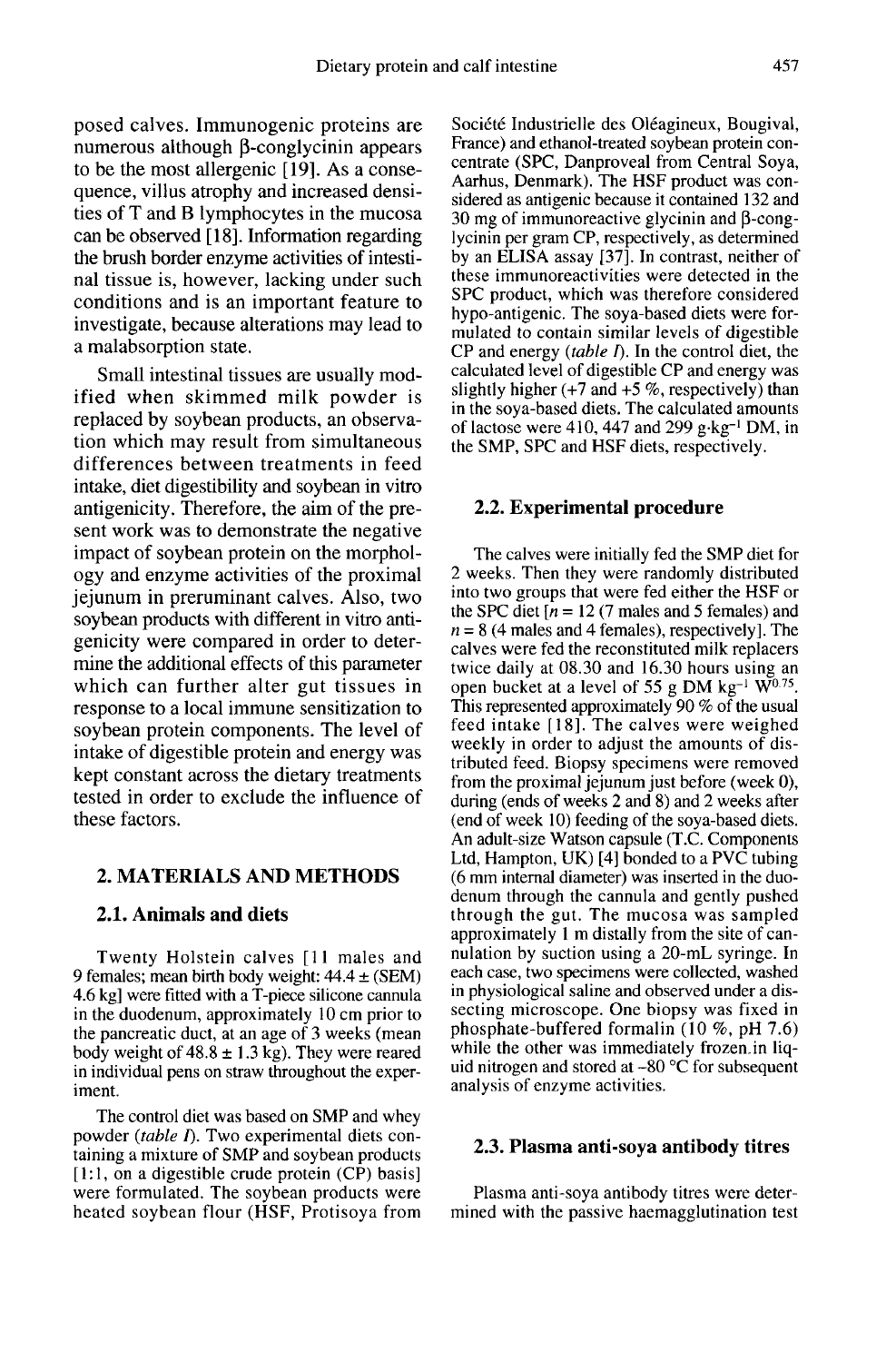posed calves. Immunogenic proteins are numerous although  $\beta$ -conglycinin appears to be the most allergenic [19]. As a consequence, villus atrophy and increased densities of T and B lymphocytes in the mucosa can be observed [18]. Information regarding the brush border enzyme activities of intestinal tissue is, however, lacking under such conditions and is an important feature to investigate, because alterations may lead to a malabsorption state.

Small intestinal tissues are usually modified when skimmed milk powder is replaced by soybean products, an observation which may result from simultaneous differences between treatments in feed intake, diet digestibility and soybean in vitro antigenicity. Therefore, the aim of the pre sent work was to demonstrate the negative impact of soybean protein on the morphology and enzyme activities of the proximal jejunum in preruminant calves. Also, two soybean products with different in vitro antigenicity were compared in order to determine the additional effects of this parameter which can further alter gut tissues in response to a local immune sensitization to soybean protein components. The level of intake of digestible protein and energy was kept constant across the dietary treatments tested in order to exclude the influence of these factors.

# 2. MATERIALS AND METHODS

#### 2.1. Animals and diets

Twenty Holstein calves [11 males and 9 females; mean birth body weight:  $44.4 \pm (SEM)$ 4.6 kg] were fitted with a T-piece silicone cannula in the duodenum, approximately 10 cm prior to the pancreatic duct, at an age of 3 weeks (mean body weight of  $48.8 \pm 1.3$  kg). They were reared in individual pens on straw throughout the experiment.

The control diet was based on SMP and whey powder (table  $I$ ). Two experimental diets containing a mixture of SMP and soybean products [1:1, on a digestible crude protein (CP) basis] were formulated. The soybean products were heated soybean flour (HSF, Protisoya from Société Industrielle des Oléagineux, Bougival, France) and ethanol-treated soybean protein concentrate (SPC, Danproveal from Central Soya, Aarhus, Denmark). The HSF product was considered as antigenic because it contained 132 and 30 mg of immunoreactive glycinin and  $\beta$ -conglycinin per gram CP, respectively, as determined by an ELISA assay [37]. In contrast, neither of these immunoreactivities were detected in the SPC product, which was therefore considered hypo-antigenic. The soya-based diets were formulated to contain similar levels of digestible CP and energy  $(table I)$ . In the control diet, the calculated level of digestible CP and energy was slightly higher  $(+7 \text{ and } +5 \%$ , respectively) than in the soya-based diets. The calculated amounts slightly higher (+7 and +5 %, respectively) than<br>in the soya-based diets. The calculated amounts<br>of lactose were 410, 447 and 299 g·kg<sup>-1</sup> DM, in<br>the SMP. SPC and HSF diets. respectively. the SMP, SPC and HSF diets, respectively.

#### 2.2. Experimental procedure

The calves were initially fed the SMP diet for 2 weeks. Then they were randomly distributed into two groups that were fed either the HSF or the SPC diet  $[n = 12 (7 \text{ males and } 5 \text{ females})$  and  $n = 8$  (4 males and 4 females), respectively]. The calves were fed the reconstituted milk replacers twice daily at 08.30 and 16.30 hours using an open bucket at a level of 55 g DM kg<sup>-1</sup>  $\text{W}^{0.75}$ . This represented approximately 90 % of the usual feed intake [18]. The calves were weighed weekly in order to adjust the amounts of distributed feed. Biopsy specimens were removed from the proximal jejunum just before (week 0), during (ends of weeks 2 and 8) and 2 weeks after (end of week 10) feeding of the soya-based diets. An adult-size Watson capsule (T.C. Components Ltd, Hampton, UK) [4] bonded to a PVC tubing (6 mm internal diameter) was inserted in the duodenum through the cannula and gently pushed through the gut. The mucosa was sampled approximately 1 m distally from the site of cannulation by suction using a 20-mL syringe. In each case, two specimens were collected, washed in physiological saline and observed under a dissecting microscope. One biopsy was fixed in phosphate-buffered formalin (10 %, pH 7.6) while the other was immediately frozen.in liquid nitrogen and stored at  $-80$  °C for subsequent analysis of enzyme activities.

#### 2.3. Plasma anti-soya antibody titres

Plasma anti-soya antibody titres were determined with the passive haemagglutination test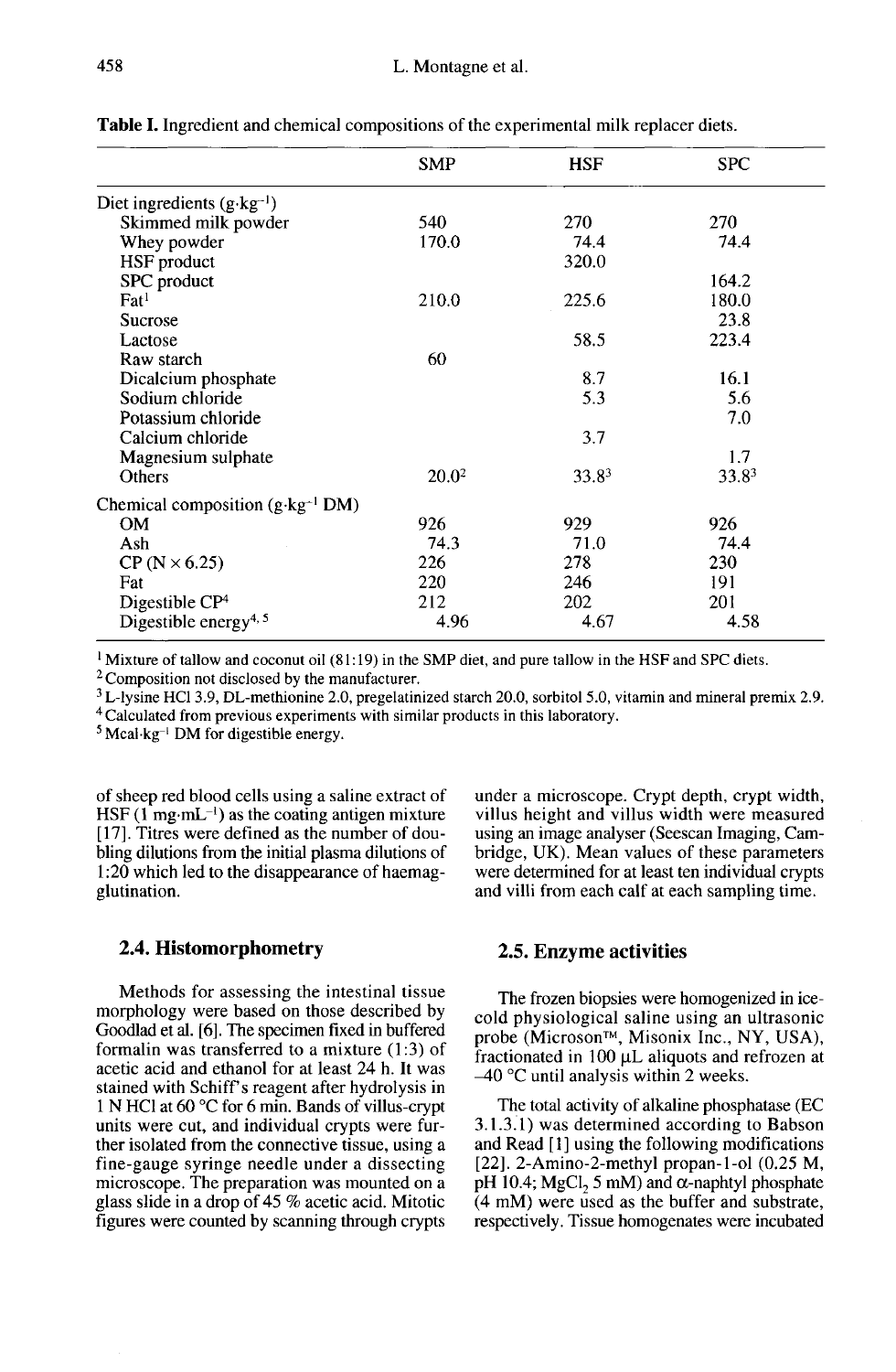|                                             | SMP               | <b>HSF</b> | <b>SPC</b> |
|---------------------------------------------|-------------------|------------|------------|
| Diet ingredients $(g \cdot kg^{-1})$        |                   |            |            |
| Skimmed milk powder                         | 540               | 270        | 270        |
| Whey powder                                 | 170.0             | 74.4       | 74.4       |
| HSF product                                 |                   | 320.0      |            |
| SPC product                                 |                   |            | 164.2      |
| $_{\rm Fat}$ <sup>1</sup>                   | 210.0             | 225.6      | 180.0      |
| <b>Sucrose</b>                              |                   |            | 23.8       |
| Lactose                                     |                   | 58.5       | 223.4      |
| Raw starch                                  | 60                |            |            |
| Dicalcium phosphate                         |                   | 8.7        | 16.1       |
| Sodium chloride                             |                   | 5.3        | 5.6        |
| Potassium chloride                          |                   |            | 7.0        |
| Calcium chloride                            |                   | 3.7        |            |
| Magnesium sulphate                          |                   |            | 1.7        |
| <b>Others</b>                               | 20.0 <sup>2</sup> | 33.83      | 33.83      |
| Chemical composition $(g \cdot kg^{-1} DM)$ |                   |            |            |
| <b>OM</b>                                   | 926               | 929        | 926        |
| Ash                                         | 74.3              | 71.0       | 74.4       |
| $CP$ (N $\times$ 6.25)                      | 226               | 278        | 230        |
| Fat                                         | 220               | 246        | 191        |
| Digestible $CP4$                            | 212               | 202        | 201        |
| Digestible energy <sup>4, 5</sup>           | 4.96              | 4.67       | 4.58       |

Table I. Ingredient and chemical compositions of the experimental milk replacer diets.

<sup>1</sup> Mixture of tallow and coconut oil  $(81:19)$  in the SMP diet, and pure tallow in the HSF and SPC diets.

<sup>2</sup> Composition not disclosed by the manufacturer.

 $3$  L-lysine HCl 3.9, DL-methionine 2.0, pregelatinized starch 20.0, sorbitol 5.0, vitamin and mineral premix 2.9.

<sup>4</sup> Calculated from previous experiments with similar products in this laboratory.

 $5$  Mcal·kg<sup>-1</sup> DM for digestible energy.

of sheep red blood cells using a saline extract of  $HSF (1 mg·mL^{-1})$  as the coating antigen mixture [17]. Titres were defined as the number of doubling dilutions from the initial plasma dilutions of 1:20 which led to the disappearance of haemagglutination.

#### 2.4. Histomorphometry

Methods for assessing the intestinal tissue morphology were based on those described by Goodlad et al. [6]. The specimen fixed in buffered formalin was transferred to a mixture (1:3) of acetic acid and ethanol for at least 24 h. It was stained with Schiff's reagent after hydrolysis in 1 N HCI at 60 °C for 6 min. Bands of villus-crypt units were cut, and individual crypts were further isolated from the connective tissue, using a fine-gauge syringe needle under a dissecting microscope. The preparation was mounted on a glass slide in a drop of 45  $%$  acetic acid. Mitotic figures were counted by scanning through crypts under a microscope. Crypt depth, crypt width, villus height and villus width were measured using an image analyser (Seescan Imaging, Cambridge, UK). Mean values of these parameters were determined for at least ten individual crypts and villi from each calf at each sampling time.

#### 2.5. Enzyme activities

The frozen biopsies were homogenized in icecold physiological saline using an ultrasonic **2.5. Enzyme activities**<br>The frozen biopsies were homogenized in ice-<br>cold physiological saline using an ultrasonic<br>probe (Microson™, Misonix Inc., NY, USA),<br>fractionated in 100 µL aliquots and refrozen at<br> $\pm 40^{\circ}$ C u fractionated in  $100 \mu L$  aliquots and refrozen at  $-40$  °C until analysis within 2 weeks.

The total activity of alkaline phosphatase (EC 3.1.3.1) was determined according to Babson and Read [I] using the following modifications [22]. 2-Amino-2-methyl propan-1-ol (0.25 M, pH 10.4; MgCl, 5 mM) and  $\alpha$ -naphtyl phosphate (4 mM) were used as the buffer and substrate, respectively. Tissue homogenates were incubated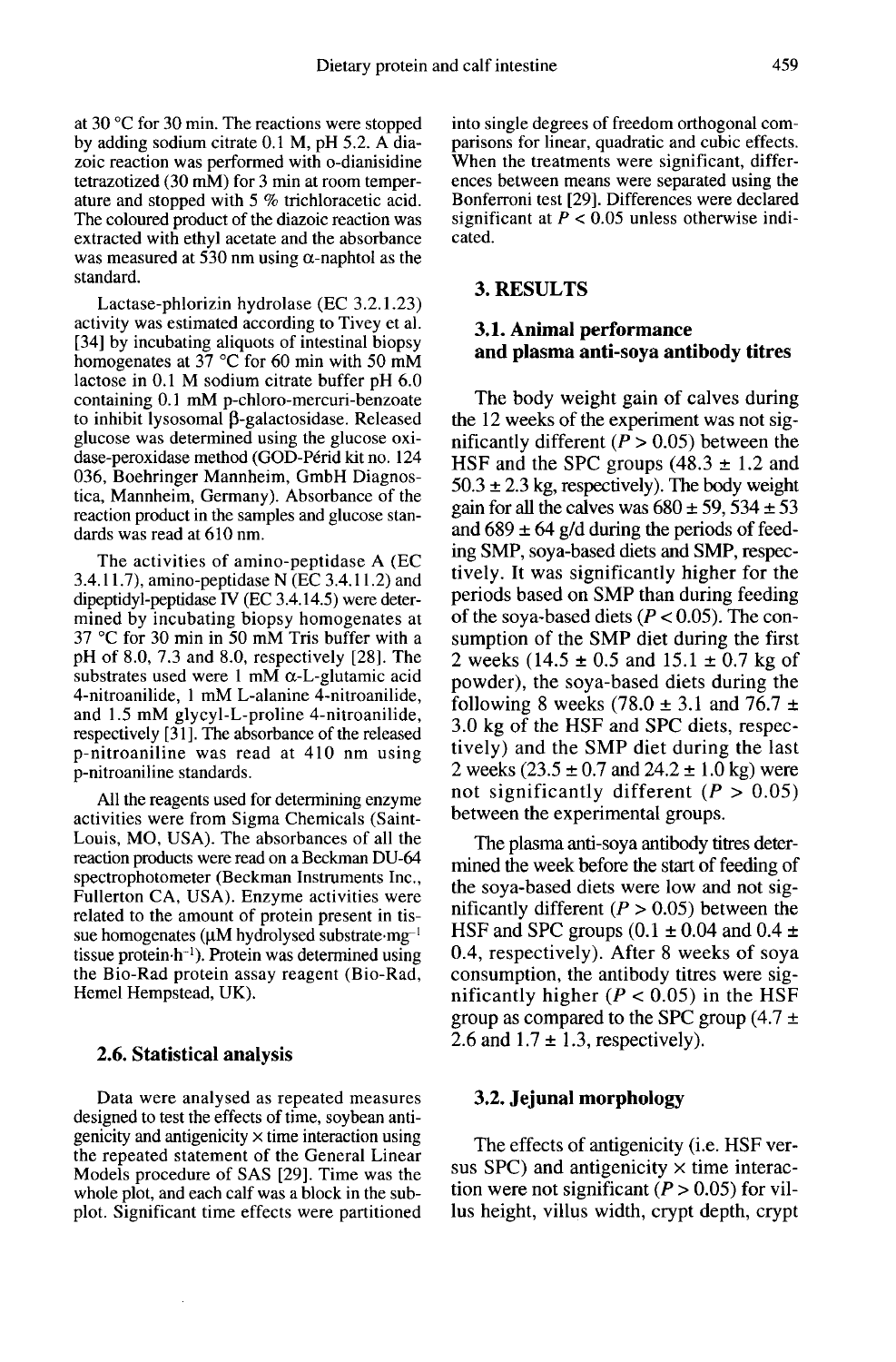at 30 °C for 30 min. The reactions were stopped by adding sodium citrate 0.1 M, pH 5.2. A diazoic reaction was performed with o-dianisidine<br>tetrazotized (30 mM) for 3 min at room temperature and stopped with 5 % trichloracetic acid. The coloured product of the diazoic reaction was extracted with ethyl acetate and the absorbance was measured at 530 nm using  $\alpha$ -naphtol as the standard.

Lactase-phlorizin hydrolase (EC 3.2.1.23) activity was estimated according to Tivey et al. [34] by incubating aliquots of intestinal biopsy homogenates at  $37^{\circ}$ C for 60 min with 50 mM lactose in 0.1 M sodium citrate buffer pH 6.0 containing 0.1 mM p-chloro-mercuri-benzoate to inhibit lysosomal  $\beta$ -galactosidase. Released glucose was determined using the glucose oxidase-peroxidase method (GOD-Périd kit no. 124 036, Boehringer Mannheim, GmbH Diagnostica, Mannheim, Germany). Absorbance of the reaction product in the samples and glucose standards was read at 610 nm.

The activities of amino-peptidase A (EC 3.4.11.7), amino-peptidase N (EC 3.4.11.2) and dipeptidyl-peptidase IV ( $EC$  3.4.14.5) were determined by incubating biopsy homogenates at 37 °C for 30 min in 50 mM Tris buffer with a pH of 8.0, 7.3 and 8.0, respectively [28]. The substrates used were 1 mM  $\alpha$ -L-glutamic acid 4-nitroanilide, 1 mM L-alanine 4-nitroanilide, and 1.5 mM glycyl-L-proline 4-nitroanilide, respectively [31]. The absorbance of the released p-nitroaniline was read at 410 nm using p-nitroaniline standards.

All the reagents used for determining enzyme activities were from Sigma Chemicals (Saint-Louis, MO, USA). The absorbances of all the reaction products were read on a Beckman DU-64 spectrophotometer (Beckman Instruments Inc., Fullerton CA, USA). Enzyme activities were related to the amount of protein present in tis-<br>sue homogenates  $(\mu M)$  hydrolysed substrate  $mg^{-1}$ <br>tissue protein b<sup>-1)</sup>. Protein was determined using sue nomogenates ( $\mu$ M hydrolysed substrate ing  $\tau$  tissue protein h<sup>-1</sup>). Protein was determined using sue homogenates ( $\mu$ M hydrolysed substrate mg<sup>-1</sup> reaction products were read on a Beckman DU-64<br>spectrophotometer (Beckman Instruments Inc.,<br>Fullerton CA, USA). Enzyme activities were<br>related to the amount of protein present in tis-<br>sue homogenates (μM hydrolysed substr nicals (Saint-<br>cess of all the<br>ckman DU-64<br>truments Inc.<br>tivities were<br>substrate mg-<br>emmed using<br>the Chio-Rad Hemel Hempstead, UK).

#### 2.6. Statistical analysis

Data were analysed as repeated measures designed to test the effects of time, soybean antigenicity and antigenicity  $\times$  time interaction using the repeated statement of the General Linear Models procedure of SAS [29]. Time was the whole plot, and each calf was a block in the subplot. Significant time effects were partitioned into single degrees of freedom orthogonal comparisons for linear, quadratic and cubic effects. When the treatments were significant, differences between means were separated using the Bonferroni test [29]. Differences were declared significant at  $P < 0.05$  unless otherwise indicated.

#### 3. RESULTS

# 3.1. Animal performance and plasma anti-soya antibody titres

The body weight gain of calves during the 12 weeks of the experiment was not significantly different ( $P > 0.05$ ) between the HSF and the SPC groups  $(48.3 \pm 1.2 \text{ and})$  $50.3 \pm 2.3$  kg, respectively). The body weight gain for all the calves was  $680 \pm 59$ ,  $534 \pm 53$ and  $689 \pm 64$  g/d during the periods of feeding SMP, soya-based diets and SMP, respectively. It was significantly higher for the periods based on SMP than during feeding of the soya-based diets ( $P < 0.05$ ). The consumption of the SMP diet during the first 2 weeks (14.5  $\pm$  0.5 and 15.1  $\pm$  0.7 kg of powder), the soya-based diets during the following 8 weeks (78.0  $\pm$  3.1 and 76.7  $\pm$ 3.0 kg of the HSF and SPC diets, respectively) and the SMP diet during the last 2 weeks  $(23.5 \pm 0.7 \text{ and } 24.2 \pm 1.0 \text{ kg})$  were not significantly different ( $P > 0.05$ ) between the experimental groups.

The plasma anti-soya antibody titres determined the week before the start of feeding of the soya-based diets were low and not significantly different ( $P > 0.05$ ) between the HSF and SPC groups  $(0.1 \pm 0.04$  and  $0.4 \pm 0.04$ 0.4, respectively). After 8 weeks of soya consumption, the antibody titres were significantly higher ( $P < 0.05$ ) in the HSF group as compared to the SPC group  $(4.7 \pm$ 2.6 and  $1.7 \pm 1.3$ , respectively).

#### 3.2. Jejunal morphology

The effects of antigenicity (i.e. HSF versus SPC) and antigenicity  $\times$  time interaction were not significant  $(P > 0.05)$  for villus height, villus width, crypt depth, crypt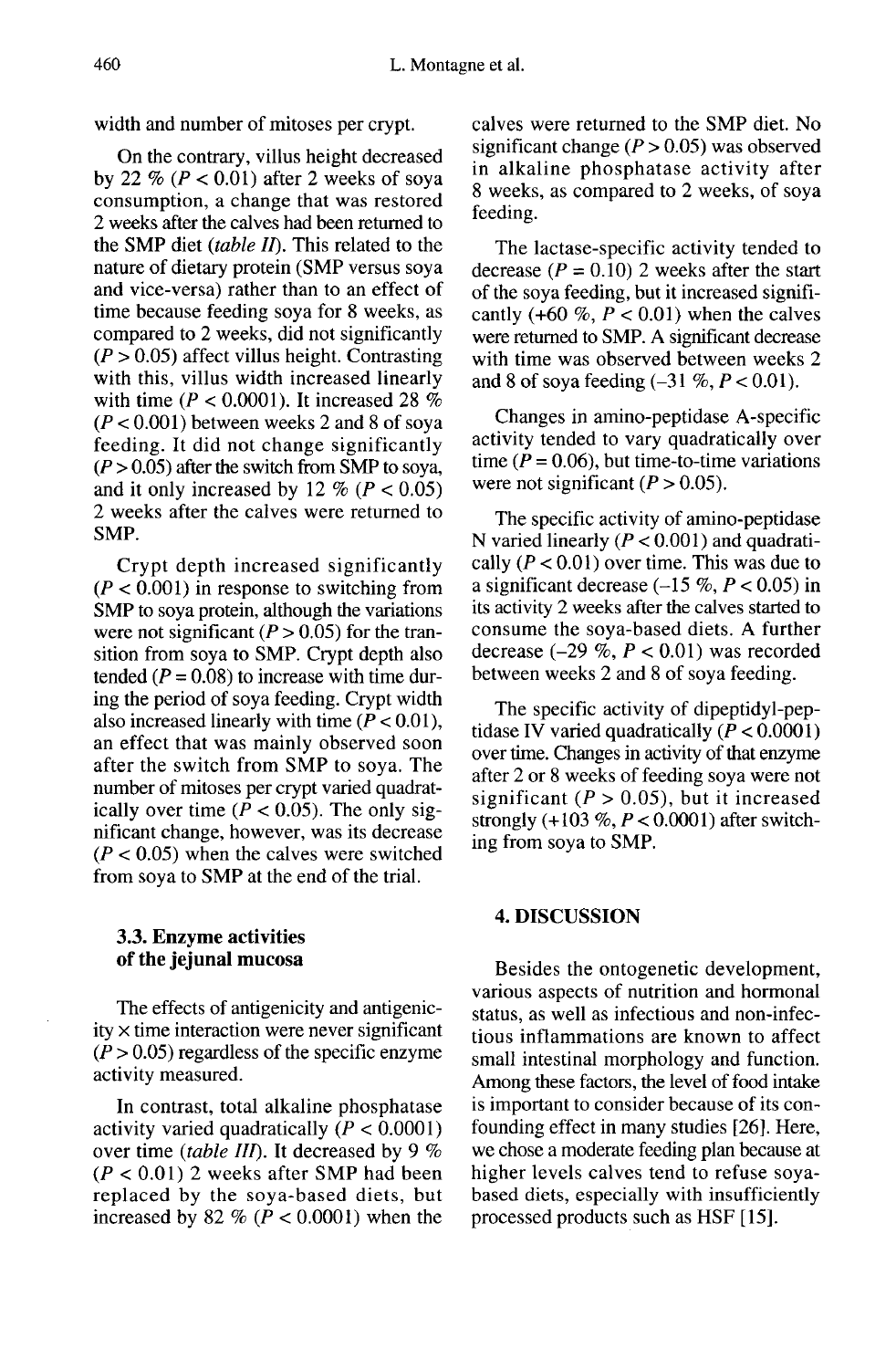width and number of mitoses per crypt.

On the contrary, villus height decreased by 22 % ( $P < 0.01$ ) after 2 weeks of soya consumption, a change that was restored 2 weeks after the calves had been returned to the SMP diet (table  $II$ ). This related to the nature of dietary protein (SMP versus soya and vice-versa) rather than to an effect of time because feeding soya for 8 weeks, as compared to 2 weeks, did not significantly  $(P > 0.05)$  affect villus height. Contrasting with this, villus width increased linearly with time ( $P < 0.0001$ ). It increased 28 %  $(P < 0.001)$  between weeks 2 and 8 of soya feeding. It did not change significantly  $(P > 0.05)$  after the switch from SMP to soya, and it only increased by 12 % ( $P < 0.05$ ) 2 weeks after the calves were returned to SMP.

Crypt depth increased significantly  $(P < 0.001)$  in response to switching from SMP to soya protein, although the variations were not significant  $(P > 0.05)$  for the transition from soya to SMP. Crypt depth also tended ( $P = 0.08$ ) to increase with time during the period of soya feeding. Crypt width also increased linearly with time  $(P < 0.01)$ , an effect that was mainly observed soon after the switch from SMP to soya. The number of mitoses per crypt varied quadratically over time ( $P < 0.05$ ). The only significant change, however, was its decrease  $(P < 0.05)$  when the calves were switched from soya to SMP at the end of the trial.

## 3.3. Enzyme activities of the jejunal mucosa

The effects of antigenicity and antigenic $ity \times time$  interaction were never significant  $(P > 0.05)$  regardless of the specific enzyme activity measured.

In contrast, total alkaline phosphatase<br>activity varied quadratically  $(P < 0.0001)$ over time *(table III)*. It decreased by 9 %  $(P < 0.01)$  2 weeks after SMP had been replaced by the soya-based diets, but increased by 82 % ( $P < 0.0001$ ) when the

calves were returned to the SMP diet. No significant change ( $P > 0.05$ ) was observed in alkaline phosphatase activity after 8 weeks, as compared to 2 weeks, of soya feeding.

The lactase-specific activity tended to decrease ( $P = 0.10$ ) 2 weeks after the start of the soya feeding, but it increased significantly (+60 %,  $P < 0.01$ ) when the calves were returned to SMP. A significant decrease with time was observed between weeks 2 and 8 of soya feeding  $(-31\%, P < 0.01)$ .

Changes in amino-peptidase A-specific activity tended to vary quadratically over time ( $P = 0.06$ ), but time-to-time variations were not significant  $(P > 0.05)$ .

The specific activity of amino-peptidase N varied linearly  $(P < 0.001)$  and quadratically ( $P < 0.01$ ) over time. This was due to a significant decrease  $(-15\%, P < 0.05)$  in its activity 2 weeks after the calves started to consume the soya-based diets. A further decrease  $(-29\% , P < 0.01)$  was recorded between weeks 2 and 8 of soya feeding.

The specific activity of dipeptidyl-peptidase IV varied quadratically  $(P < 0.0001)$ over time. Changes in activity of that enzyme after 2 or 8 weeks of feeding soya were not significant ( $P > 0.05$ ), but it increased strongly  $(+103\%, P < 0.0001)$  after switching from soya to SMP.

#### 4. DISCUSSION

Besides the ontogenetic development, various aspects of nutrition and hormonal status, as well as infectious and non-infectious inflammations are known to affect small intestinal morphology and function. Among these factors, the level of food intake is important to consider because of its confounding effect in many studies [26]. Here, we chose a moderate feeding plan because at higher levels calves tend to refuse soyabased diets, especially with insufficiently processed products such as HSF [15].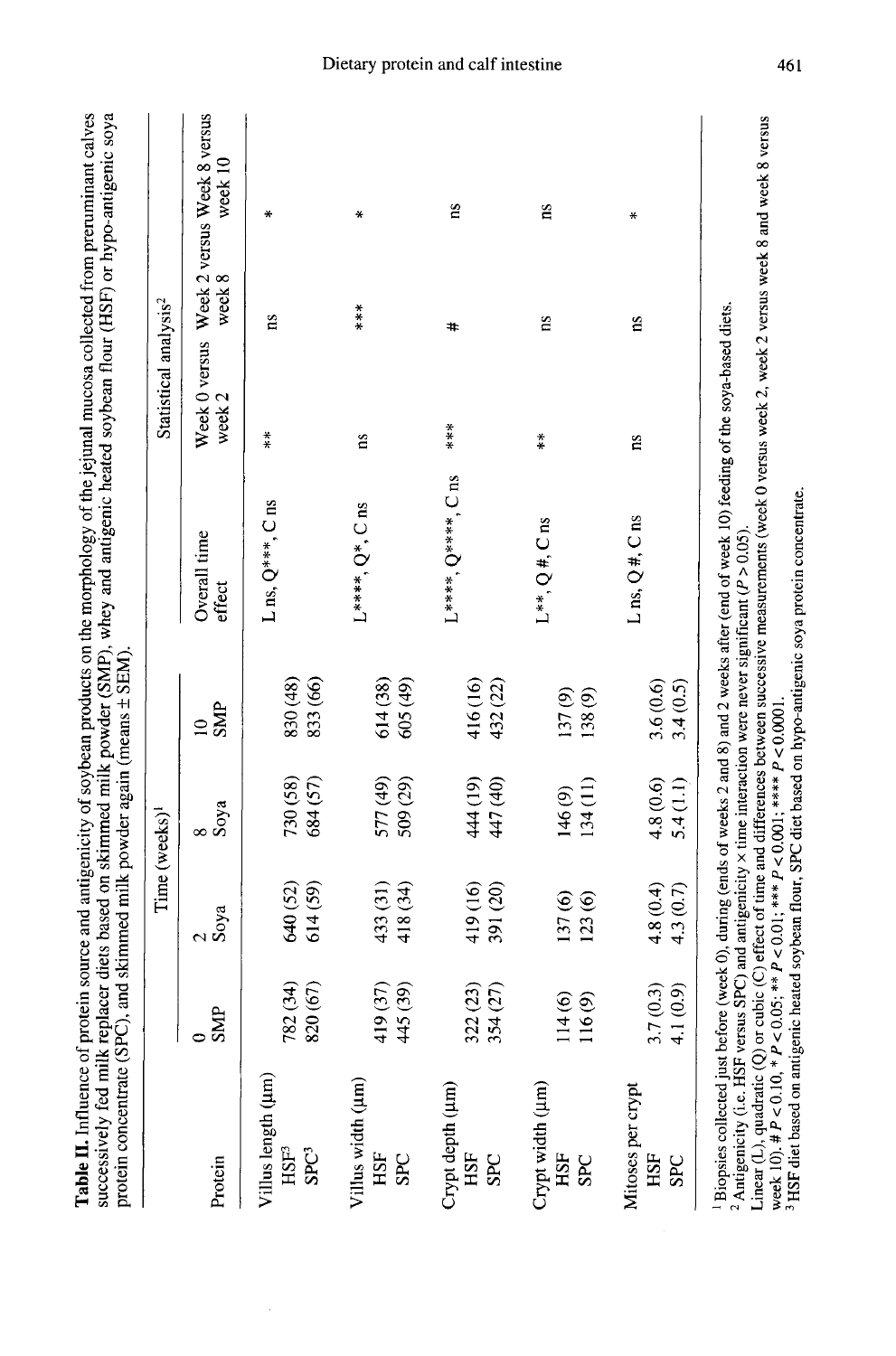|                                               |                                                        |                       | Time (weeks) <sup>1</sup> |                          |                                                                                                                      | Statistical analysis <sup>2</sup> |            |                                                      |
|-----------------------------------------------|--------------------------------------------------------|-----------------------|---------------------------|--------------------------|----------------------------------------------------------------------------------------------------------------------|-----------------------------------|------------|------------------------------------------------------|
| Protein                                       | <b>SMP</b>                                             | 2<br>Soya             | 8<br>Soya                 | <b>SMP</b><br>$\approx$  | Overall time<br>effect                                                                                               | week 2                            | week 8     | Week 0 versus Week 2 versus Week 8 versus<br>week 10 |
| Villus length (µm)<br>$HSE^3$<br><b>SPC3</b>  | 782 (34)<br>820 (67)                                   | 614 (59)<br>640 (52)  | 730 (58)<br>684(57)       | 830 (48)<br>833 (66)     | $L$ ns, $Q^{***}$ , $C$ ns                                                                                           | $\ddot{*}$                        | ns         | ∗                                                    |
| Villus width (µm)<br>HSF<br><b>SPC</b>        | (39)<br>(37)<br>4451                                   | 418 (34)<br>433 (31)  | 577 (49)<br>509 (29)      | 614 (38)<br>605 (49)     | $L^{***}$ , $Q^*$ , $C$ ns                                                                                           | ns                                | $***$      | ₩                                                    |
| Crypt depth (um)<br>HSE<br><b>SPC</b>         | (27)<br>322(23)<br>354                                 | 391 (20)<br>419 (16)  | 447 (40)<br>444 (19)      | 416 (16)<br>432 (22)     | $L***, O***, C$ ns                                                                                                   | ***                               | #          | ns                                                   |
| Crypt width (um)<br>HSF<br><b>SPC</b>         | $\widehat{\mathbf{e}}$<br>$\circledcirc$<br>114<br>116 | 137(6)<br>123(6)      | 134(11)<br>146(9)         | 137(9)<br>138(9)         | $L^{**}$ , $Q#$ , $C$ ns                                                                                             | $\overset{*}{*}$                  | ns         | $\overline{\mathbf{n}}$                              |
| Mitoses per crypt<br><b>HSF</b><br><b>SPC</b> | $3.7(0.3)$<br>4.1 $(0.9)$                              | 4.8(0.4)<br>4.3 (0.7) | 4.8(0.6)<br>5.4(1.1)      | $3.6(0.6)$<br>$3.4(0.5)$ | $L$ ns, $Q#$ , $C$ ns                                                                                                | ns                                | <b>n</b> s | ₩                                                    |
|                                               |                                                        |                       |                           |                          | Bionies collected inst before (meal O), during (and collected and 0) and 0) unalized as $\alpha = 1$ on $\alpha = 1$ |                                   |            |                                                      |

-virtual play to the content of the particle of weeks and  $\delta$  and  $\delta$  and  $\delta$  and  $\delta$  and  $\delta$  weeks anter (end of weeks ID) feeding of the soya-based diets. 

<sup>2</sup> Antigenicity (i.e. HSF versus SPC) and antigenicity  $\times$  time interaction were never significant ( $P > 0.05$ ).

Linear (L), quadratic (Q) or cubic (C) effect of time and differences between successive measurements (week 0 versus week 2 versus week 8 and week 8 versus week 10), #  $P < 0.10$ , \*  $P < 0.05$ , \*\*  $P < 0.001$ , \*\*\*\*  $P < 0.000$ 

<sup>3</sup> HSF diet based on antigenic heated soybean flour, SPC diet based on hypo-antigenic soya protein concentrate.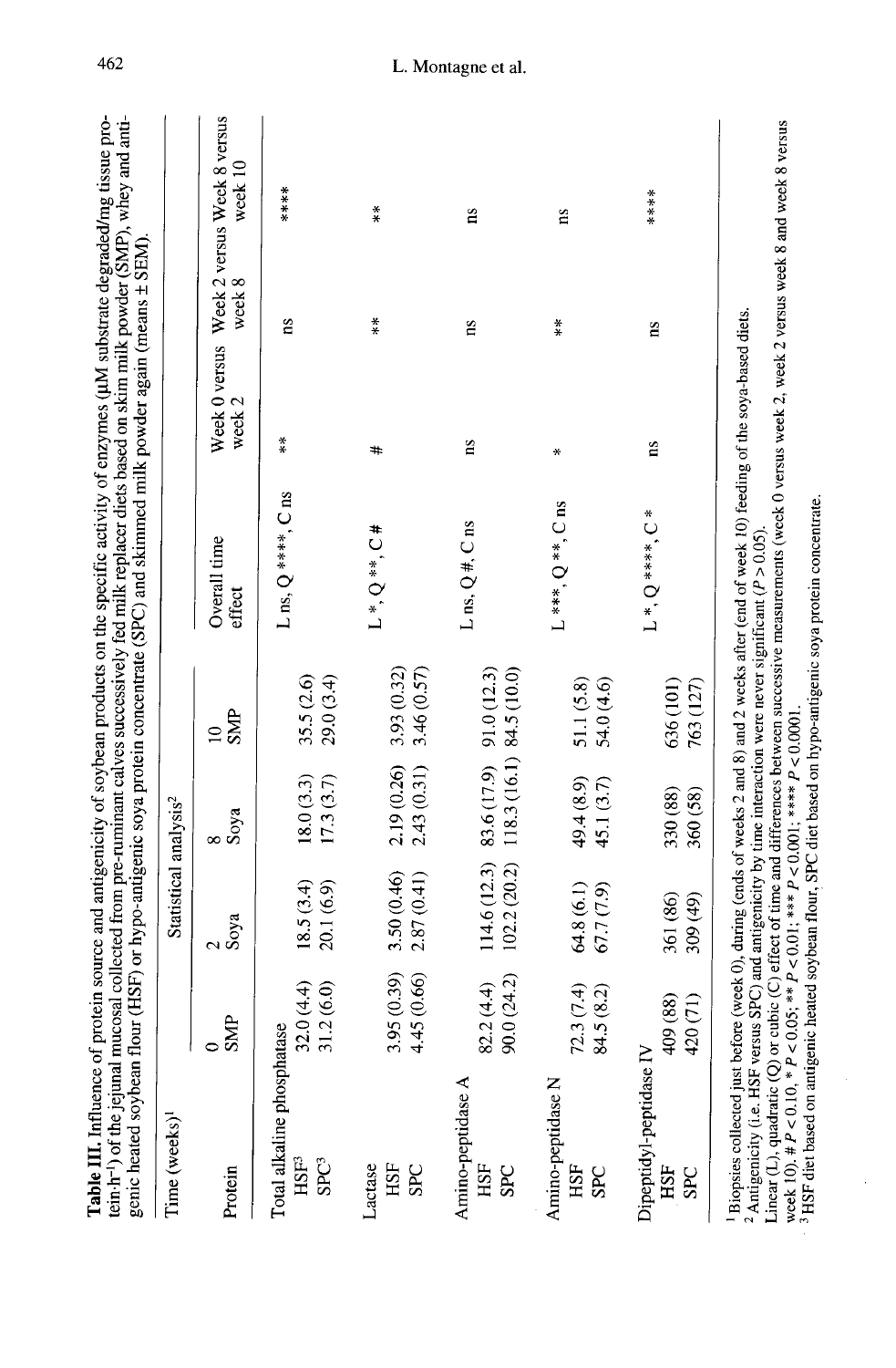| genic heated soybean flour (HSF) or hypo-antigenic soya protein concentrate (SPC) and skimmed milk powder again (means ± SEM).<br>Time (weeks) <sup>1</sup> |                                        | Statistical analysis <sup>2</sup> |                                                                   |                              |                        |                  |                                                     |            |
|-------------------------------------------------------------------------------------------------------------------------------------------------------------|----------------------------------------|-----------------------------------|-------------------------------------------------------------------|------------------------------|------------------------|------------------|-----------------------------------------------------|------------|
| Protein                                                                                                                                                     | <b>SMP</b><br>$\overline{\phantom{0}}$ | Soya                              | Soya                                                              | <b>SMP</b><br>$\overline{a}$ | Overall time<br>effect | week 2           | Week 0 versus Week 2 versus Week 8 versus<br>week 8 | week 10    |
| Total alkaline phosphatase<br>$HSE^3$<br>SPC <sup>3</sup>                                                                                                   | 31.2(6.0)<br>32.0(4.4)                 | 18.5(3.4)<br>20.1 (6.9)           | 18.0(3.3)<br>17.3(3.7)                                            | 35.5 (2.6)<br>29.0(3.4)      | L ns, $Q$ ****, $C$ ns | $\overset{*}{*}$ | $\overline{\mathbf{n}}$                             | $***$ $*$  |
| Lactase<br>HSF<br><b>SPC</b>                                                                                                                                | 3.95 (0.39)<br>4.45 (0.66)             | 3.50 (0.46)<br>2.87(0.41)         | 2.19 (0.26)<br>2.43 (0.31)                                        | 3.93 (0.32)<br>3.46 (0.57)   | $L*, Q**$ , $C#$       | #                | $\frac{*}{*}$                                       | $\ddot{*}$ |
| Amino-peptidase A<br>HSF<br><b>SPC</b>                                                                                                                      | $82.2(4.4)$<br>90.0 $(24.2)$           | 102.2(20.2)                       | $114.6(12.3)$ 83.6 (17.9) 91.0 (12.3)<br>118.3 (16.1) 84.5 (10.0) |                              | L ns, $Q#$ , C ns      | $\mathbf{a}$     | ns                                                  | ns         |
| Amino-peptidase N<br><b>HSF</b><br><b>SPC</b>                                                                                                               | 72.3(7.4)<br>84.5 (8.2)                | 64.8 (6.1)<br>67.7(7.9)           | 49.4 (8.9)<br>45.1 (3.7)                                          | 51.1 (5.8)<br>54.0 (4.6)     | $L***$ , Q $**$ , C ns | ÷                | $\ddot{*}$                                          | ns         |
| Dipeptidyl-peptidase IV<br><b>HSF</b><br>SPC                                                                                                                | (88)<br>(71)<br>409<br>420             | 361 (86)<br>309 (49)              | 330 (88)<br>360 (58)                                              | 636 (101)<br>763 (127)       | $L^*$ , $Q^{***}$      | $\mathbf{n}$ s   | $\overline{\mathbf{n}}$                             | ****       |

462

# L. Montagne et al.

Linear (L), queries contracts of the control of the and differences between successive measurements (week 0 versus week 2, week 2 versus week 8 and week 8 versus week 10, #  $P < 0.10$ , \*  $P < 0.05$ ; \*\*  $P < 0.001$ ; \*\*\*  $P < 0$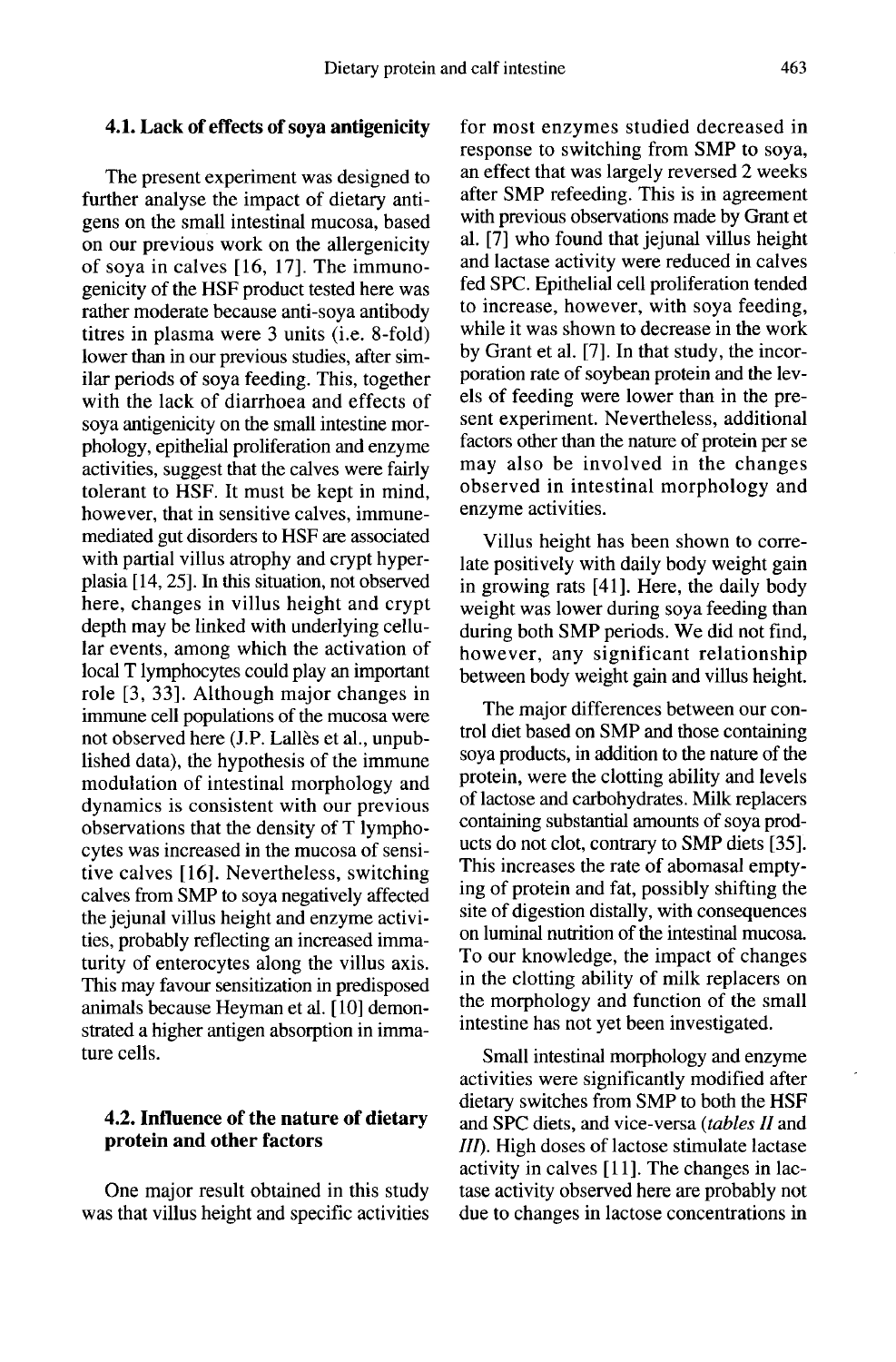# 4.1. Lack of effects of soya antigenicity

The present experiment was designed to further analyse the impact of dietary antigens on the small intestinal mucosa, based on our previous work on the allergenicity of soya in calves [16, 17]. The immunogenicity of the HSF product tested here was rather moderate because anti-soya antibody titres in plasma were 3 units (i.e. 8-fold) lower than in our previous studies, after similar periods of soya feeding. This, together with the lack of diarrhoea and effects of soya antigenicity on the small intestine morphology, epithelial proliferation and enzyme activities, suggest that the calves were fairly tolerant to HSF. It must be kept in mind, however, that in sensitive calves, immunemediated gut disorders to HSF are associated with partial villus atrophy and crypt hyperplasia [14, 25]. In this situation, not observed here, changes in villus height and crypt depth may be linked with underlying cellular events, among which the activation of local T lymphocytes could play an important role [3, 33]. Although major changes in immune cell populations of the mucosa were not observed here (J.P. Lallès et al., unpublished data), the hypothesis of the immune modulation of intestinal morphology and dynamics is consistent with our previous observations that the density of T lymphocytes was increased in the mucosa of sensitive calves [16]. Nevertheless, switching calves from SMP to soya negatively affected the jejunal villus height and enzyme activities, probably reflecting an increased immaturity of enterocytes along the villus axis. This may favour sensitization in predisposed animals because Heyman et al. [ 10] demonstrated a higher antigen absorption in immature cells.

# 4.2. Influence of the nature of dietary protein and other factors

One major result obtained in this study was that villus height and specific activities for most enzymes studied decreased in response to switching from SMP to soya, an effect that was largely reversed 2 weeks after SMP refeeding. This is in agreement with previous observations made by Grant et al. [7] who found that jejunal villus height and lactase activity were reduced in calves fed SPC. Epithelial cell proliferation tended to increase, however, with soya feeding, while it was shown to decrease in the work by Grant et al. [7]. In that study, the incorporation rate of soybean protein and the levels of feeding were lower than in the pre sent experiment. Nevertheless, additional factors other than the nature of protein per se may also be involved in the changes observed in intestinal morphology and enzyme activities.

Villus height has been shown to correlate positively with daily body weight gain in growing rats [41]. Here, the daily body weight was lower during soya feeding than during both SMP periods. We did not find, however, any significant relationship between body weight gain and villus height.

The major differences between our control diet based on SMP and those containing soya products, in addition to the nature of the protein, were the clotting ability and levels of lactose and carbohydrates. Milk replacers ucts do not clot, contrary to SMP diets [35]. This increases the rate of abomasal emptying of protein and fat, possibly shifting the site of digestion distally, with consequences on luminal nutrition of the intestinal mucosa. To our knowledge, the impact of changes in the clotting ability of milk replacers on the morphology and function of the small intestine has not yet been investigated.

Small intestinal morphology and enzyme activities were significantly modified after dietary switches from SMP to both the HSF and SPC diets, and vice-versa (tables II and III). High doses of lactose stimulate lactase activity in calves [11]. The changes in lactase activity observed here are probably not due to changes in lactose concentrations in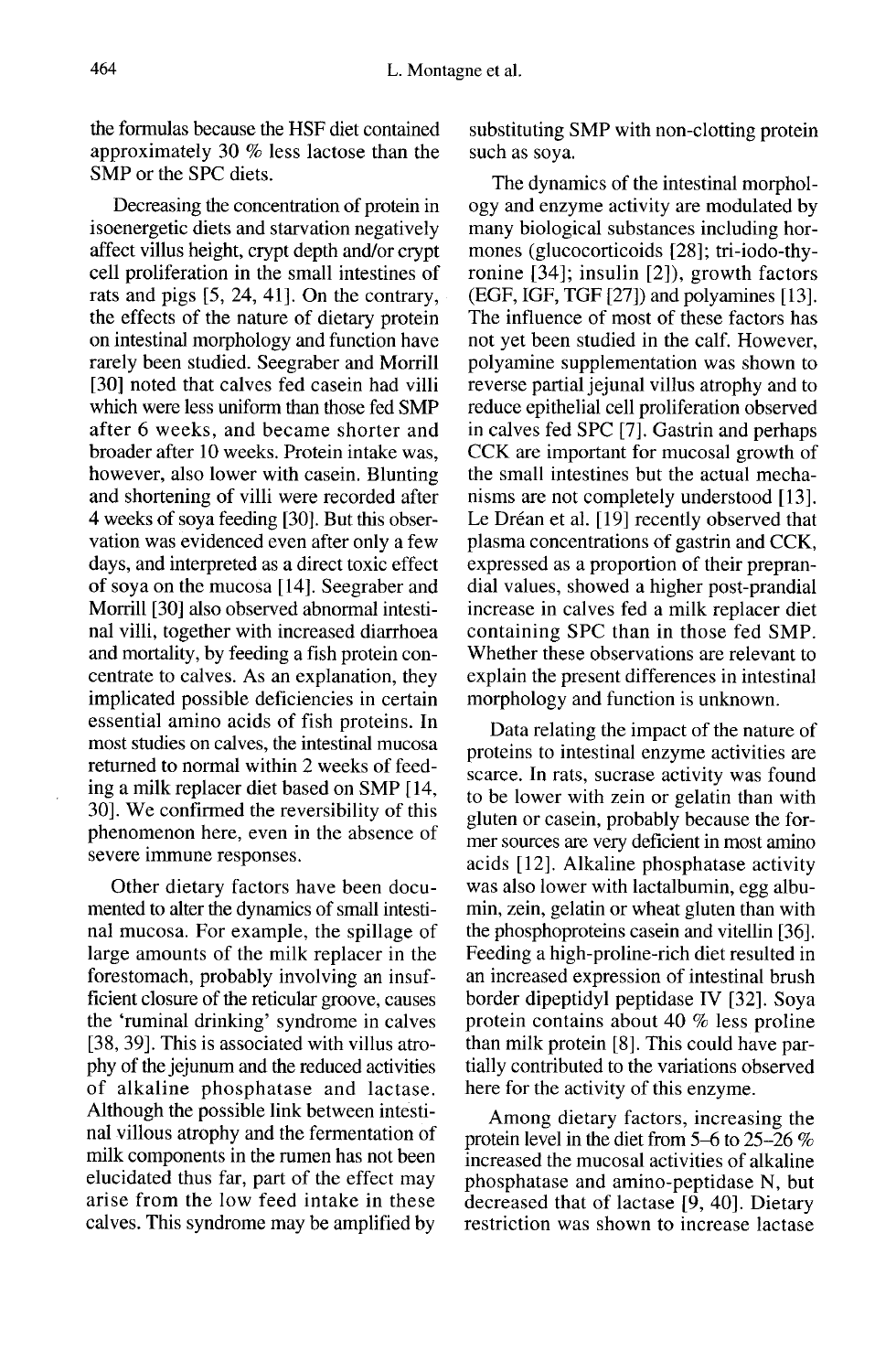the formulas because the HSF diet contained approximately 30 % less lactose than the SMP or the SPC diets.

Decreasing the concentration of protein in isoenergetic diets and starvation negatively affect villus height, crypt depth and/or crypt cell proliferation in the small intestines of rats and pigs [5, 24, 41]. On the contrary, the effects of the nature of dietary protein on intestinal morphology and function have rarely been studied. Seegraber and Morrill [30] noted that calves fed casein had villi which were less uniform than those fed SMP after 6 weeks, and became shorter and broader after 10 weeks. Protein intake was, however, also lower with casein. Blunting and shortening of villi were recorded after 4 weeks of soya feeding [30]. But this observation was evidenced even after only a few days, and interpreted as a direct toxic effect of soya on the mucosa [ 14]. Seegraber and Morrill [30] also observed abnormal intestinal villi, together with increased diarrhoea and mortality, by feeding a fish protein concentrate to calves. As an explanation, they implicated possible deficiencies in certain essential amino acids of fish proteins. In most studies on calves, the intestinal mucosa returned to normal within 2 weeks of feeding a milk replacer diet based on SMP [14, 30]. We confirmed the reversibility of this phenomenon here, even in the absence of severe immune responses.

Other dietary factors have been documented to alter the dynamics of small intestinal mucosa. For example, the spillage of large amounts of the milk replacer in the forestomach, probably involving an insufficient closure of the reticular groove, causes the 'ruminal drinking' syndrome in calves [38, 39]. This is associated with villus atrophy of the jejunum and the reduced activities of alkaline phosphatase and lactase. Although the possible link between intestinal villous atrophy and the fermentation of milk components in the rumen has not been elucidated thus far, part of the effect may arise from the low feed intake in these calves. This syndrome may be amplified by

substituting SMP with non-clotting protein such as soya.

The dynamics of the intestinal morphology and enzyme activity are modulated by many biological substances including hormones (glucocorticoids [28]; tri-iodo-thyronine [34]; insulin [2]), growth factors (EGF, IGF, TGF [27]) and polyamines [13]. The influence of most of these factors has not yet been studied in the calf. However, polyamine supplementation was shown to reverse partial jejunal villus atrophy and to reduce epithelial cell proliferation observed in calves fed SPC [7]. Gastrin and perhaps CCK are important for mucosal growth of the small intestines but the actual mechanisms are not completely understood [13]. Le Dréan et al. [19] recently observed that plasma concentrations of gastrin and CCK, expressed as a proportion of their preprandial values, showed a higher post-prandial increase in calves fed a milk replacer diet containing SPC than in those fed SMP. Whether these observations are relevant to explain the present differences in intestinal morphology and function is unknown.

Data relating the impact of the nature of proteins to intestinal enzyme activities are scarce. In rats, sucrase activity was found to be lower with zein or gelatin than with gluten or casein, probably because the former sources are very deficient in most amino acids [12]. Alkaline phosphatase activity was also lower with lactalbumin, egg albumin, zein, gelatin or wheat gluten than with the phosphoproteins casein and vitellin [36]. Feeding a high-proline-rich diet resulted in an increased expression of intestinal brush border dipeptidyl peptidase IV [32]. Soya protein contains about 40 % less proline than milk protein [8]. This could have partially contributed to the variations observed here for the activity of this enzyme.

Among dietary factors, increasing the protein level in the diet from 5-6 to 25-26 % increased the mucosal activities of alkaline phosphatase and amino-peptidase N, but<br>decreased that of lactase [9, 40]. Dietary restriction was shown to increase lactase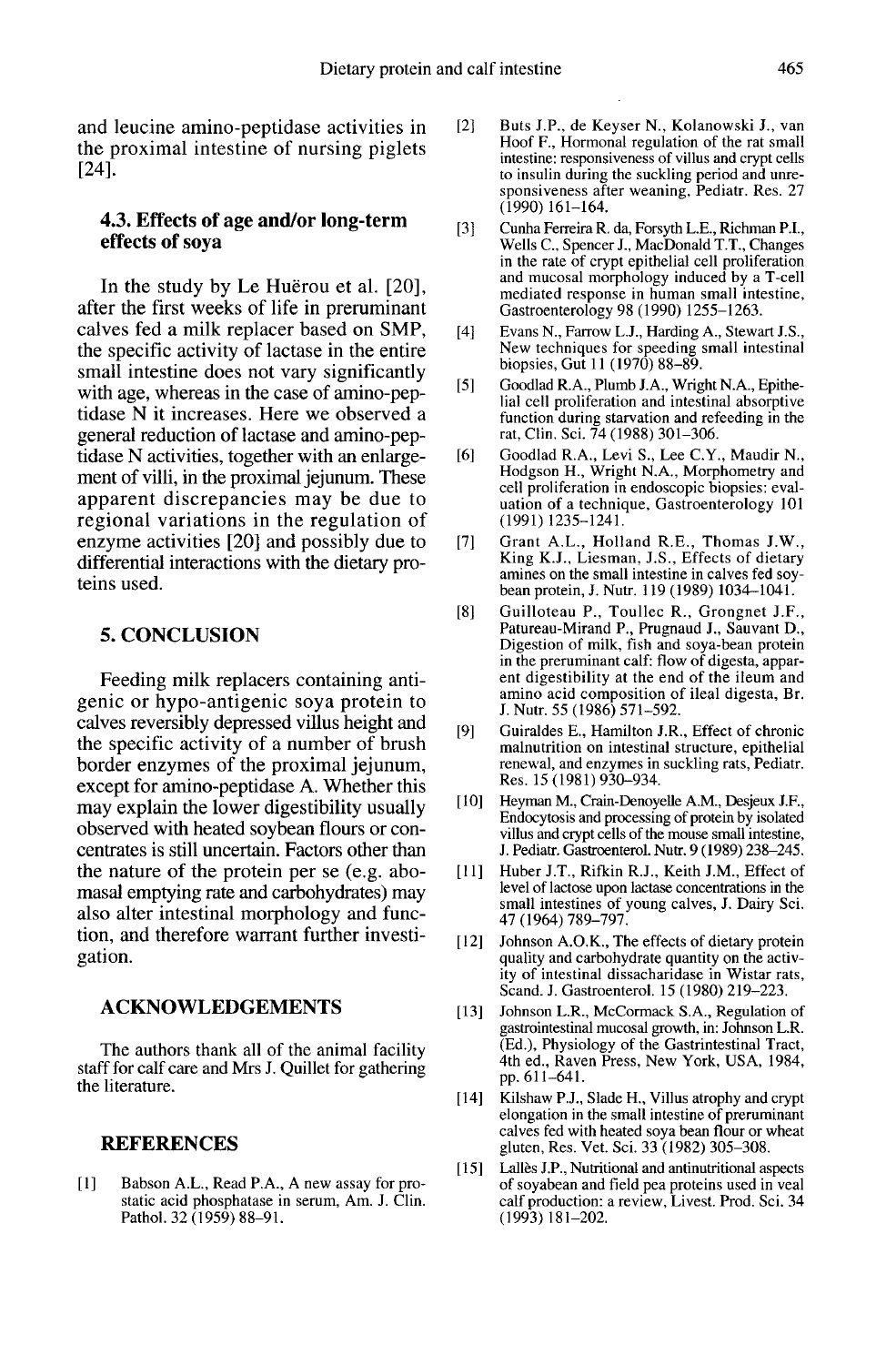and leucine amino-peptidase activities in the proximal intestine of nursing piglets [24].

#### 4.3. Effects of age and/or long-term effects of soya

In the study by Le Huerou et al. [20], after the first weeks of life in preruminant calves fed a milk replacer based on SMP, the specific activity of lactase in the entire small intestine does not vary significantly with age, whereas in the case of amino-peptidase N it increases. Here we observed a general reduction of lactase and amino-peptidase N activities, together with an enlarge ment of villi, in the proximal jejunum. These apparent discrepancies may be due to regional variations in the regulation of enzyme activities [20] and possibly due to differential interactions with the dietary proteins used.

#### 5. CONCLUSION

Feeding milk replacers containing antigenic or hypo-antigenic soya protein to calves reversibly depressed villus height and the specific activity of a number of brush border enzymes of the proximal jejunum, except for amino-peptidase A. Whether this may explain the lower digestibility usually observed with heated soybean flours or concentrates is still uncertain. Factors other than the nature of the protein per se (e.g. abomasal emptying rate and carbohydrates) may also alter intestinal morphology and function, and therefore warrant further investigation.

#### ACKNOWLEDGEMENTS

The authors thank all of the animal facility staff for calf care and Mrs J. Quillet for gathering the literature.

#### REFERENCES

[1] ]Babson A.L., Read P.A., A new assay for pro- static acid phosphatase in serum, Am. J. Clin. Pathol. 32 (1959) 88-91.

- [2] Buts J.P., de Keyser N., Kolanowski J., van Hoof F., Hormonal regulation of the rat small intestine: responsiveness of villus and crypt cells to insulin during the suckling period and unre-sponsiveness after weaning, Pediatr. Res. 27 (1990) 161-164.
- [3] ] Cunha Ferreira R. da, Forsyth L.E., Richman P.I., Wells C., Spencer J., MacDonald T.T., Changes in the rate of crypt epithelial cell proliferation and mucosal morphology induced by a T-cell mediated response in human small intestine, Gastroenterology 98 (1990) 1255-1263.
- [4] Evans N., Farrow L.J., Harding A., Stewart J.S., New techniques for speeding small intestinal biopsies, Gut 11 (1970) 88-89.
- [5] Goodlad R.A., Plumb J.A., Wright N.A., Epithe lial cell proliferation and intestinal absorptive function during starvation and refeeding in the rat, Clin. Sci. 74 (1988) 301-306.
- [6] Goodlad R.A., Levi S., Lee C.Y., Maudir N. Hodgson H., Wright N.A., Morphometry and cell proliferation in endoscopic biopsies: evaluation of a technique, Gastroenterology 101 (1991)1235-1241.
- [7] Grant A.L., Holland R.E., Thomas J.W.,<br>King K.J., Liesman, J.S., Effects of dietary amines on the small intestine in calves fed soybean protein, J. Nutr. 119 (1989) 1034-1041.
- [8] Guilloteau P., Toullec R., Grongnet J.F., Patureau-Mirand P., Prugnaud J., Sauvant D., Digestion of milk, fish and soya-bean protein in the preruminant calf: flow of digesta, appar- ent digestibility at the end of the ileum and amino acid composition of ileal digesta, Br. J. Nutr. 55 (1986) 571-592.
- [9] Guiraldes E., Hamilton J.R., Effect of chronic malnutrition on intestinal structure, epithelial renewal, and enzymes in suckling rats, Pediatr. Res. 15 (1981) 930-934.
- [10] Heyman M., Crain-Denoyelle A.M., Desjeux J.F., Endocytosis and processing of protein by isolated villus and crypt cells of the mouse small intestine, J. Pediatr. Gastroenterol. Nutr. 9 (1989) 238-245.
- [11] Huber J.T., Rifkin R.J., Keith J.M., Effect of level of lactose upon lactase concentrations in the small intestines of young calves, J. Dairy Sci. 47 (1964) 789-797.
- [12] Johnson A.O.K., The effects of dietary protein quality and carbohydrate quantity on the activity of intestinal dissacharidase in Wistar rats, Scand. J. Gastroenterol. 15 (1980) 219-223.
- [13] Johnson L.R., McCormack S.A., Regulation of gastrointestinal mucosal growth, in: Johnson L.R.<br>(Ed.), Physiology of the Gastrintestinal Tract, 4th ed., Raven Press, New York, USA, 1984, pp. 611-641.
- [14] Kilshaw P.J., Slade H., Villus atrophy and crypt elongation in the small intestine of preruminant calves fed with heated soya bean flour or wheat gluten, Res. Vet. Sci. 33 (1982) 305-308.
- [15] Lalles J.P., Nutritional and antinutritional aspects of soyabean and field pea proteins used in veal calf production: a review, Livest. Prod. Sci. 34 (1993) 181-202.